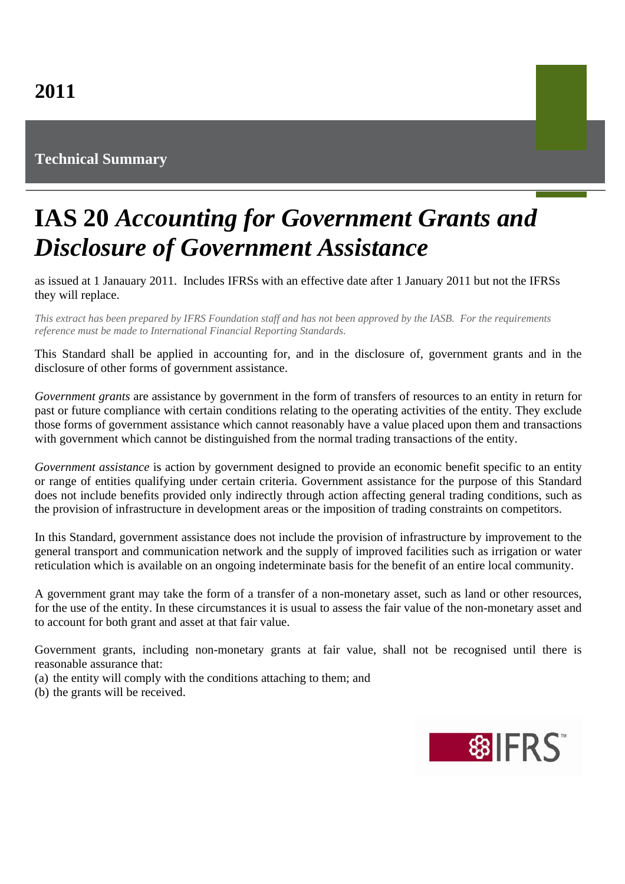## **Technical Summary**

## **IAS 20** *Accounting for Government Grants and Disclosure of Government Assistance*

as issued at 1 Janauary 2011. Includes IFRSs with an effective date after 1 January 2011 but not the IFRSs they will replace.

*This extract has been prepared by IFRS Foundation staff and has not been approved by the IASB. For the requirements reference must be made to International Financial Reporting Standards.*

This Standard shall be applied in accounting for, and in the disclosure of, government grants and in the disclosure of other forms of government assistance.

*Government grants* are assistance by government in the form of transfers of resources to an entity in return for past or future compliance with certain conditions relating to the operating activities of the entity. They exclude those forms of government assistance which cannot reasonably have a value placed upon them and transactions with government which cannot be distinguished from the normal trading transactions of the entity.

*Government assistance* is action by government designed to provide an economic benefit specific to an entity or range of entities qualifying under certain criteria. Government assistance for the purpose of this Standard does not include benefits provided only indirectly through action affecting general trading conditions, such as the provision of infrastructure in development areas or the imposition of trading constraints on competitors.

In this Standard, government assistance does not include the provision of infrastructure by improvement to the general transport and communication network and the supply of improved facilities such as irrigation or water reticulation which is available on an ongoing indeterminate basis for the benefit of an entire local community.

A government grant may take the form of a transfer of a non-monetary asset, such as land or other resources, for the use of the entity. In these circumstances it is usual to assess the fair value of the non-monetary asset and to account for both grant and asset at that fair value.

Government grants, including non-monetary grants at fair value, shall not be recognised until there is reasonable assurance that:

- (a) the entity will comply with the conditions attaching to them; and
- (b) the grants will be received.